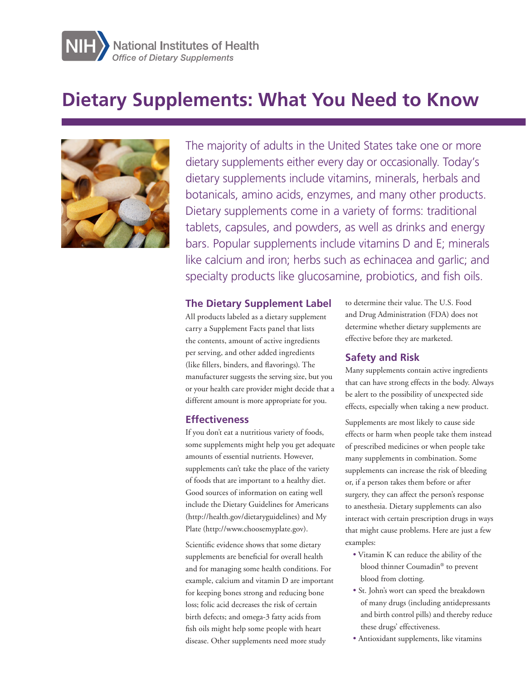

# **Dietary Supplements: What You Need to Know**



The majority of adults in the United States take one or more dietary supplements either every day or occasionally. Today's dietary supplements include vitamins, minerals, herbals and botanicals, amino acids, enzymes, and many other products. Dietary supplements come in a variety of forms: traditional tablets, capsules, and powders, as well as drinks and energy bars. Popular supplements include vitamins D and E; minerals like calcium and iron; herbs such as echinacea and garlic; and specialty products like glucosamine, probiotics, and fish oils.

## **The Dietary Supplement Label**

All products labeled as a dietary supplement carry a Supplement Facts panel that lists the contents, amount of active ingredients per serving, and other added ingredients (like fillers, binders, and flavorings). The manufacturer suggests the serving size, but you or your health care provider might decide that a different amount is more appropriate for you.

## **Effectiveness**

If you don't eat a nutritious variety of foods, some supplements might help you get adequate amounts of essential nutrients. However, supplements can't take the place of the variety of foods that are important to a healthy diet. Good sources of information on eating well include the Dietary Guidelines for Americans (http://health.gov/dietaryguidelines) and My Plate (http://www.choosemyplate.gov).

Scientific evidence shows that some dietary supplements are beneficial for overall health and for managing some health conditions. For example, calcium and vitamin D are important for keeping bones strong and reducing bone loss; folic acid decreases the risk of certain birth defects; and omega-3 fatty acids from fish oils might help some people with heart disease. Other supplements need more study

to determine their value. The U.S. Food and Drug Administration (FDA) does not determine whether dietary supplements are effective before they are marketed.

#### **Safety and Risk**

Many supplements contain active ingredients that can have strong effects in the body. Always be alert to the possibility of unexpected side effects, especially when taking a new product.

Supplements are most likely to cause side effects or harm when people take them instead of prescribed medicines or when people take many supplements in combination. Some supplements can increase the risk of bleeding or, if a person takes them before or after surgery, they can affect the person's response to anesthesia. Dietary supplements can also interact with certain prescription drugs in ways that might cause problems. Here are just a few examples:

- Vitamin K can reduce the ability of the blood thinner Coumadin® to prevent blood from clotting.
- St. John's wort can speed the breakdown of many drugs (including antidepressants and birth control pills) and thereby reduce these drugs' effectiveness.
- Antioxidant supplements, like vitamins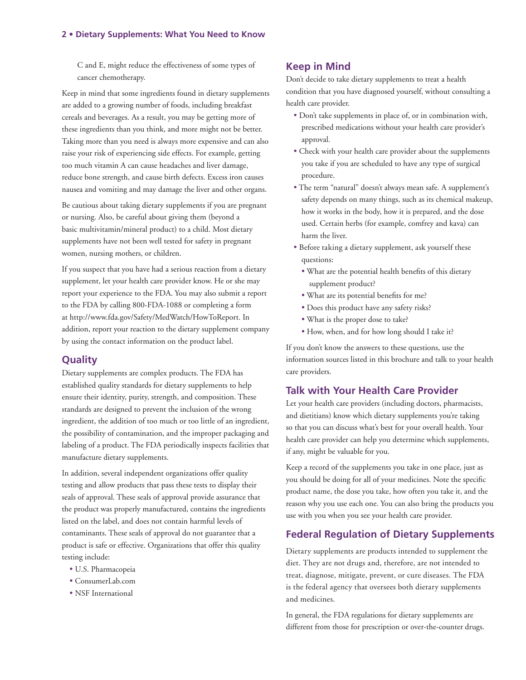#### **2 • Dietary Supplements: What You Need to Know**

C and E, might reduce the effectiveness of some types of cancer chemotherapy.

Keep in mind that some ingredients found in dietary supplements are added to a growing number of foods, including breakfast cereals and beverages. As a result, you may be getting more of these ingredients than you think, and more might not be better. Taking more than you need is always more expensive and can also raise your risk of experiencing side effects. For example, getting too much vitamin A can cause headaches and liver damage, reduce bone strength, and cause birth defects. Excess iron causes nausea and vomiting and may damage the liver and other organs.

Be cautious about taking dietary supplements if you are pregnant or nursing. Also, be careful about giving them (beyond a basic multivitamin/mineral product) to a child. Most dietary supplements have not been well tested for safety in pregnant women, nursing mothers, or children.

If you suspect that you have had a serious reaction from a dietary supplement, let your health care provider know. He or she may report your experience to the FDA. You may also submit a report to the FDA by calling 800-FDA-1088 or completing a form at http://www.fda.gov/Safety/MedWatch/HowToReport. In addition, report your reaction to the dietary supplement company by using the contact information on the product label.

## **Quality**

Dietary supplements are complex products. The FDA has established quality standards for dietary supplements to help ensure their identity, purity, strength, and composition. These standards are designed to prevent the inclusion of the wrong ingredient, the addition of too much or too little of an ingredient, the possibility of contamination, and the improper packaging and labeling of a product. The FDA periodically inspects facilities that manufacture dietary supplements.

In addition, several independent organizations offer quality testing and allow products that pass these tests to display their seals of approval. These seals of approval provide assurance that the product was properly manufactured, contains the ingredients listed on the label, and does not contain harmful levels of contaminants. These seals of approval do not guarantee that a product is safe or effective. Organizations that offer this quality testing include:

- U.S. Pharmacopeia
- ConsumerLab.com
- NSF International

## **Keep in Mind**

Don't decide to take dietary supplements to treat a health condition that you have diagnosed yourself, without consulting a health care provider.

- Don't take supplements in place of, or in combination with, prescribed medications without your health care provider's approval.
- Check with your health care provider about the supplements you take if you are scheduled to have any type of surgical procedure.
- The term "natural" doesn't always mean safe. A supplement's safety depends on many things, such as its chemical makeup, how it works in the body, how it is prepared, and the dose used. Certain herbs (for example, comfrey and kava) can harm the liver.
- Before taking a dietary supplement, ask yourself these questions:
	- What are the potential health benefits of this dietary supplement product?
	- What are its potential benefits for me?
	- Does this product have any safety risks?
	- What is the proper dose to take?
	- How, when, and for how long should I take it?

If you don't know the answers to these questions, use the information sources listed in this brochure and talk to your health care providers.

## **Talk with Your Health Care Provider**

Let your health care providers (including doctors, pharmacists, and dietitians) know which dietary supplements you're taking so that you can discuss what's best for your overall health. Your health care provider can help you determine which supplements, if any, might be valuable for you.

Keep a record of the supplements you take in one place, just as you should be doing for all of your medicines. Note the specific product name, the dose you take, how often you take it, and the reason why you use each one. You can also bring the products you use with you when you see your health care provider.

## **Federal Regulation of Dietary Supplements**

Dietary supplements are products intended to supplement the diet. They are not drugs and, therefore, are not intended to treat, diagnose, mitigate, prevent, or cure diseases. The FDA is the federal agency that oversees both dietary supplements and medicines.

In general, the FDA regulations for dietary supplements are different from those for prescription or over-the-counter drugs.